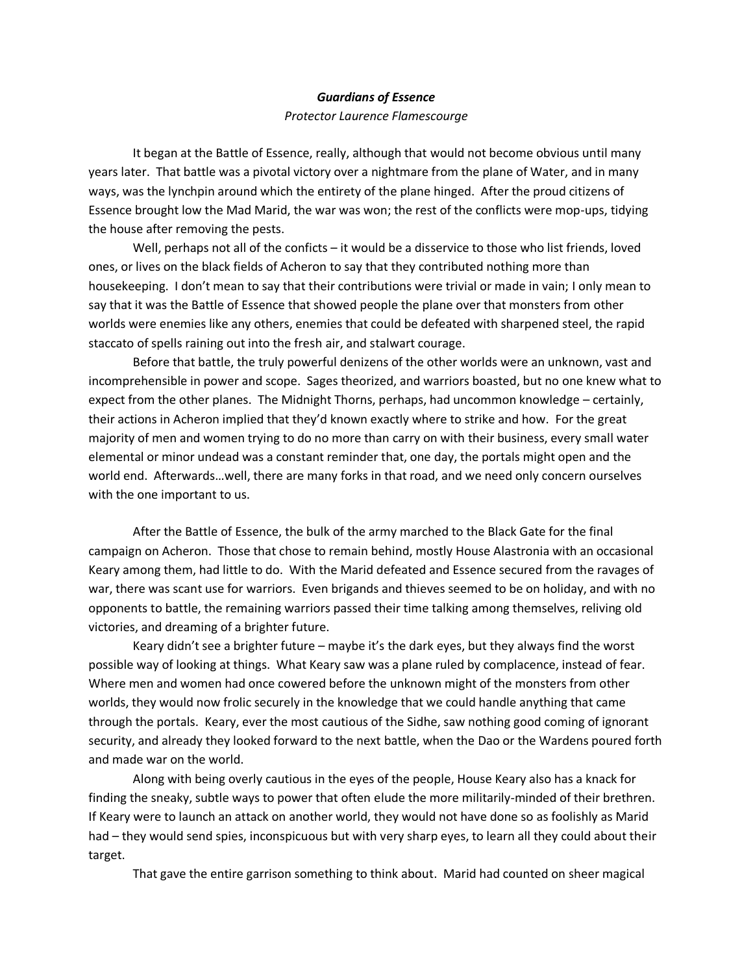# *Guardians of Essence*

## *Protector Laurence Flamescourge*

It began at the Battle of Essence, really, although that would not become obvious until many years later. That battle was a pivotal victory over a nightmare from the plane of Water, and in many ways, was the lynchpin around which the entirety of the plane hinged. After the proud citizens of Essence brought low the Mad Marid, the war was won; the rest of the conflicts were mop-ups, tidying the house after removing the pests.

Well, perhaps not all of the conficts – it would be a disservice to those who list friends, loved ones, or lives on the black fields of Acheron to say that they contributed nothing more than housekeeping. I don't mean to say that their contributions were trivial or made in vain; I only mean to say that it was the Battle of Essence that showed people the plane over that monsters from other worlds were enemies like any others, enemies that could be defeated with sharpened steel, the rapid staccato of spells raining out into the fresh air, and stalwart courage.

Before that battle, the truly powerful denizens of the other worlds were an unknown, vast and incomprehensible in power and scope. Sages theorized, and warriors boasted, but no one knew what to expect from the other planes. The Midnight Thorns, perhaps, had uncommon knowledge – certainly, their actions in Acheron implied that they'd known exactly where to strike and how. For the great majority of men and women trying to do no more than carry on with their business, every small water elemental or minor undead was a constant reminder that, one day, the portals might open and the world end. Afterwards…well, there are many forks in that road, and we need only concern ourselves with the one important to us.

After the Battle of Essence, the bulk of the army marched to the Black Gate for the final campaign on Acheron. Those that chose to remain behind, mostly House Alastronia with an occasional Keary among them, had little to do. With the Marid defeated and Essence secured from the ravages of war, there was scant use for warriors. Even brigands and thieves seemed to be on holiday, and with no opponents to battle, the remaining warriors passed their time talking among themselves, reliving old victories, and dreaming of a brighter future.

Keary didn't see a brighter future – maybe it's the dark eyes, but they always find the worst possible way of looking at things. What Keary saw was a plane ruled by complacence, instead of fear. Where men and women had once cowered before the unknown might of the monsters from other worlds, they would now frolic securely in the knowledge that we could handle anything that came through the portals. Keary, ever the most cautious of the Sidhe, saw nothing good coming of ignorant security, and already they looked forward to the next battle, when the Dao or the Wardens poured forth and made war on the world.

Along with being overly cautious in the eyes of the people, House Keary also has a knack for finding the sneaky, subtle ways to power that often elude the more militarily-minded of their brethren. If Keary were to launch an attack on another world, they would not have done so as foolishly as Marid had – they would send spies, inconspicuous but with very sharp eyes, to learn all they could about their target.

That gave the entire garrison something to think about. Marid had counted on sheer magical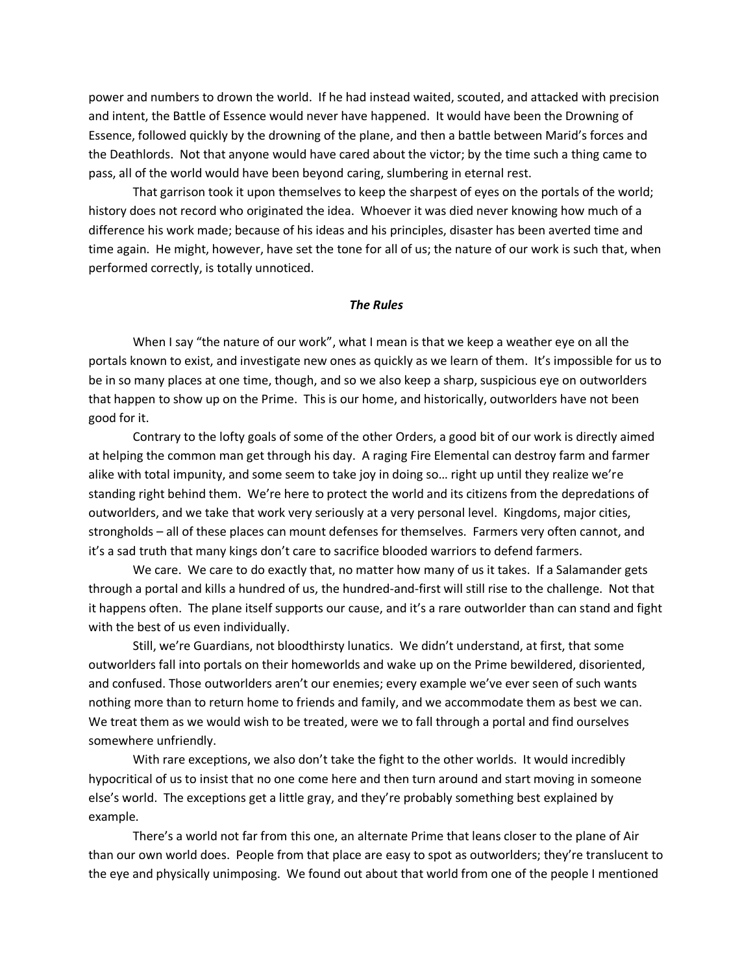power and numbers to drown the world. If he had instead waited, scouted, and attacked with precision and intent, the Battle of Essence would never have happened. It would have been the Drowning of Essence, followed quickly by the drowning of the plane, and then a battle between Marid's forces and the Deathlords. Not that anyone would have cared about the victor; by the time such a thing came to pass, all of the world would have been beyond caring, slumbering in eternal rest.

 That garrison took it upon themselves to keep the sharpest of eyes on the portals of the world; history does not record who originated the idea. Whoever it was died never knowing how much of a difference his work made; because of his ideas and his principles, disaster has been averted time and time again. He might, however, have set the tone for all of us; the nature of our work is such that, when performed correctly, is totally unnoticed.

## *The Rules*

 When I say "the nature of our work", what I mean is that we keep a weather eye on all the portals known to exist, and investigate new ones as quickly as we learn of them. It's impossible for us to be in so many places at one time, though, and so we also keep a sharp, suspicious eye on outworlders that happen to show up on the Prime. This is our home, and historically, outworlders have not been good for it.

 Contrary to the lofty goals of some of the other Orders, a good bit of our work is directly aimed at helping the common man get through his day. A raging Fire Elemental can destroy farm and farmer alike with total impunity, and some seem to take joy in doing so… right up until they realize we're standing right behind them. We're here to protect the world and its citizens from the depredations of outworlders, and we take that work very seriously at a very personal level. Kingdoms, major cities, strongholds – all of these places can mount defenses for themselves. Farmers very often cannot, and it's a sad truth that many kings don't care to sacrifice blooded warriors to defend farmers.

We care. We care to do exactly that, no matter how many of us it takes. If a Salamander gets through a portal and kills a hundred of us, the hundred-and-first will still rise to the challenge. Not that it happens often. The plane itself supports our cause, and it's a rare outworlder than can stand and fight with the best of us even individually.

Still, we're Guardians, not bloodthirsty lunatics. We didn't understand, at first, that some outworlders fall into portals on their homeworlds and wake up on the Prime bewildered, disoriented, and confused. Those outworlders aren't our enemies; every example we've ever seen of such wants nothing more than to return home to friends and family, and we accommodate them as best we can. We treat them as we would wish to be treated, were we to fall through a portal and find ourselves somewhere unfriendly.

With rare exceptions, we also don't take the fight to the other worlds. It would incredibly hypocritical of us to insist that no one come here and then turn around and start moving in someone else's world. The exceptions get a little gray, and they're probably something best explained by example.

There's a world not far from this one, an alternate Prime that leans closer to the plane of Air than our own world does. People from that place are easy to spot as outworlders; they're translucent to the eye and physically unimposing. We found out about that world from one of the people I mentioned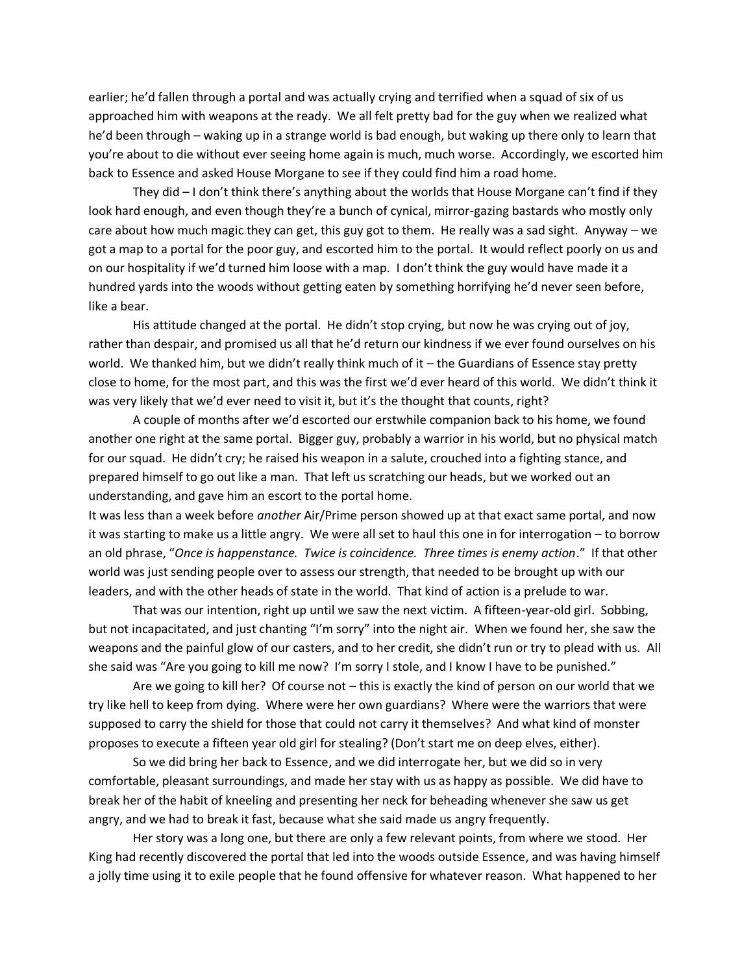earlier; he'd fallen through a portal and was actually crying and terrified when a squad of six of us approached him with weapons at the ready. We all felt pretty bad for the guy when we realized what he'd been through – waking up in a strange world is bad enough, but waking up there only to learn that you're about to die without ever seeing home again is much, much worse. Accordingly, we escorted him back to Essence and asked House Morgane to see if they could find him a road home.

They did – I don't think there's anything about the worlds that House Morgane can't find if they look hard enough, and even though they're a bunch of cynical, mirror-gazing bastards who mostly only care about how much magic they can get, this guy got to them. He really was a sad sight. Anyway – we got a map to a portal for the poor guy, and escorted him to the portal. It would reflect poorly on us and on our hospitality if we'd turned him loose with a map. I don't think the guy would have made it a hundred yards into the woods without getting eaten by something horrifying he'd never seen before, like a bear.

His attitude changed at the portal. He didn't stop crying, but now he was crying out of joy, rather than despair, and promised us all that he'd return our kindness if we ever found ourselves on his world. We thanked him, but we didn't really think much of it – the Guardians of Essence stay pretty close to home, for the most part, and this was the first we'd ever heard of this world. We didn't think it was very likely that we'd ever need to visit it, but it's the thought that counts, right?

A couple of months after we'd escorted our erstwhile companion back to his home, we found another one right at the same portal. Bigger guy, probably a warrior in his world, but no physical match for our squad. He didn't cry; he raised his weapon in a salute, crouched into a fighting stance, and prepared himself to go out like a man. That left us scratching our heads, but we worked out an understanding, and gave him an escort to the portal home.

It was less than a week before *another* Air/Prime person showed up at that exact same portal, and now it was starting to make us a little angry. We were all set to haul this one in for interrogation – to borrow an old phrase, "*Once is happenstance. Twice is coincidence. Three times is enemy action*." If that other world was just sending people over to assess our strength, that needed to be brought up with our leaders, and with the other heads of state in the world. That kind of action is a prelude to war.

That was our intention, right up until we saw the next victim. A fifteen-year-old girl. Sobbing, but not incapacitated, and just chanting "I'm sorry" into the night air. When we found her, she saw the weapons and the painful glow of our casters, and to her credit, she didn't run or try to plead with us. All she said was "Are you going to kill me now? I'm sorry I stole, and I know I have to be punished."

Are we going to kill her? Of course not – this is exactly the kind of person on our world that we try like hell to keep from dying. Where were her own guardians? Where were the warriors that were supposed to carry the shield for those that could not carry it themselves? And what kind of monster proposes to execute a fifteen year old girl for stealing? (Don't start me on deep elves, either).

So we did bring her back to Essence, and we did interrogate her, but we did so in very comfortable, pleasant surroundings, and made her stay with us as happy as possible. We did have to break her of the habit of kneeling and presenting her neck for beheading whenever she saw us get angry, and we had to break it fast, because what she said made us angry frequently.

Her story was a long one, but there are only a few relevant points, from where we stood. Her King had recently discovered the portal that led into the woods outside Essence, and was having himself a jolly time using it to exile people that he found offensive for whatever reason. What happened to her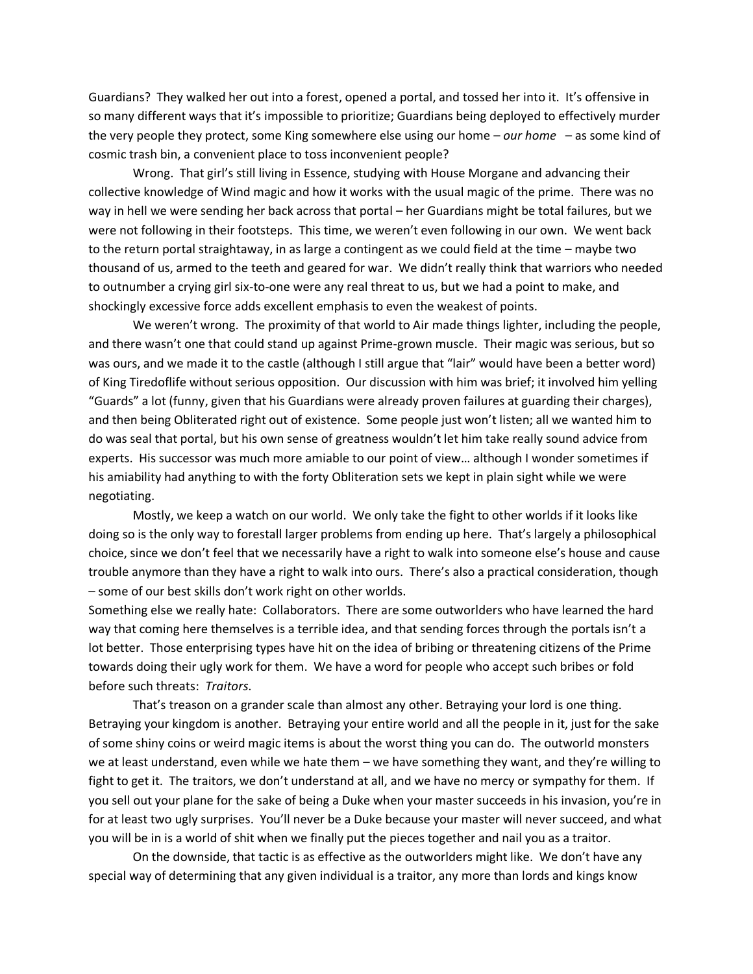Guardians? They walked her out into a forest, opened a portal, and tossed her into it. It's offensive in so many different ways that it's impossible to prioritize; Guardians being deployed to effectively murder the very people they protect, some King somewhere else using our home – *our home* – as some kind of cosmic trash bin, a convenient place to toss inconvenient people?

Wrong. That girl's still living in Essence, studying with House Morgane and advancing their collective knowledge of Wind magic and how it works with the usual magic of the prime. There was no way in hell we were sending her back across that portal – her Guardians might be total failures, but we were not following in their footsteps. This time, we weren't even following in our own. We went back to the return portal straightaway, in as large a contingent as we could field at the time – maybe two thousand of us, armed to the teeth and geared for war. We didn't really think that warriors who needed to outnumber a crying girl six-to-one were any real threat to us, but we had a point to make, and shockingly excessive force adds excellent emphasis to even the weakest of points.

We weren't wrong. The proximity of that world to Air made things lighter, including the people, and there wasn't one that could stand up against Prime-grown muscle. Their magic was serious, but so was ours, and we made it to the castle (although I still argue that "lair" would have been a better word) of King Tiredoflife without serious opposition. Our discussion with him was brief; it involved him yelling "Guards" a lot (funny, given that his Guardians were already proven failures at guarding their charges), and then being Obliterated right out of existence. Some people just won't listen; all we wanted him to do was seal that portal, but his own sense of greatness wouldn't let him take really sound advice from experts. His successor was much more amiable to our point of view… although I wonder sometimes if his amiability had anything to with the forty Obliteration sets we kept in plain sight while we were negotiating.

Mostly, we keep a watch on our world. We only take the fight to other worlds if it looks like doing so is the only way to forestall larger problems from ending up here. That's largely a philosophical choice, since we don't feel that we necessarily have a right to walk into someone else's house and cause trouble anymore than they have a right to walk into ours. There's also a practical consideration, though – some of our best skills don't work right on other worlds.

Something else we really hate: Collaborators. There are some outworlders who have learned the hard way that coming here themselves is a terrible idea, and that sending forces through the portals isn't a lot better. Those enterprising types have hit on the idea of bribing or threatening citizens of the Prime towards doing their ugly work for them. We have a word for people who accept such bribes or fold before such threats: *Traitors*.

That's treason on a grander scale than almost any other. Betraying your lord is one thing. Betraying your kingdom is another. Betraying your entire world and all the people in it, just for the sake of some shiny coins or weird magic items is about the worst thing you can do. The outworld monsters we at least understand, even while we hate them – we have something they want, and they're willing to fight to get it. The traitors, we don't understand at all, and we have no mercy or sympathy for them. If you sell out your plane for the sake of being a Duke when your master succeeds in his invasion, you're in for at least two ugly surprises. You'll never be a Duke because your master will never succeed, and what you will be in is a world of shit when we finally put the pieces together and nail you as a traitor.

On the downside, that tactic is as effective as the outworlders might like. We don't have any special way of determining that any given individual is a traitor, any more than lords and kings know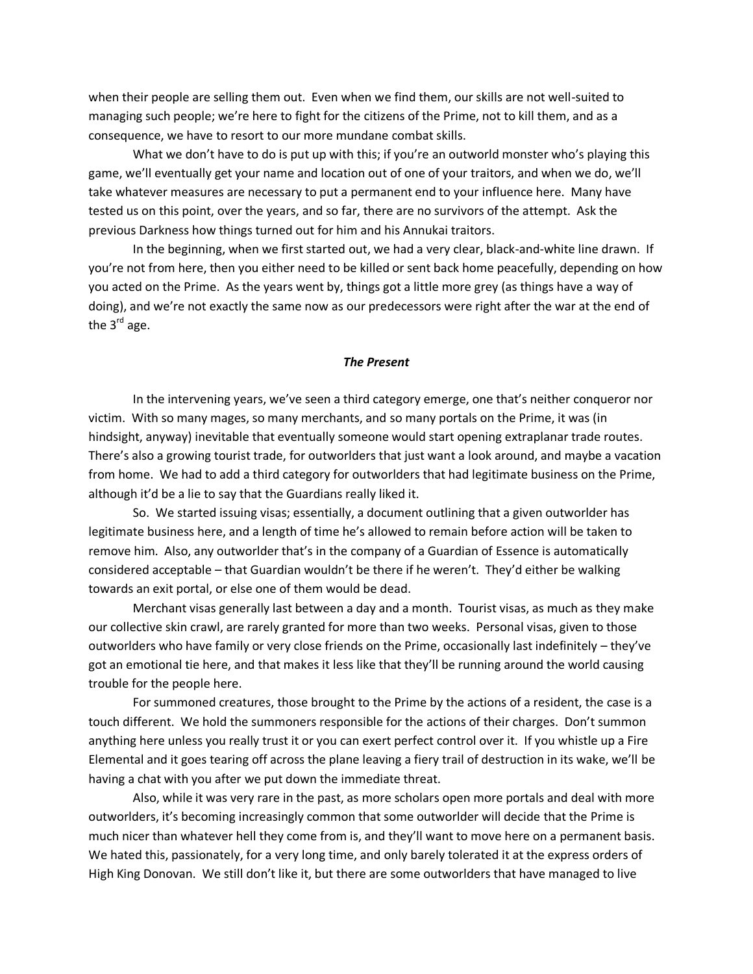when their people are selling them out. Even when we find them, our skills are not well-suited to managing such people; we're here to fight for the citizens of the Prime, not to kill them, and as a consequence, we have to resort to our more mundane combat skills.

What we don't have to do is put up with this; if you're an outworld monster who's playing this game, we'll eventually get your name and location out of one of your traitors, and when we do, we'll take whatever measures are necessary to put a permanent end to your influence here. Many have tested us on this point, over the years, and so far, there are no survivors of the attempt. Ask the previous Darkness how things turned out for him and his Annukai traitors.

 In the beginning, when we first started out, we had a very clear, black-and-white line drawn. If you're not from here, then you either need to be killed or sent back home peacefully, depending on how you acted on the Prime. As the years went by, things got a little more grey (as things have a way of doing), and we're not exactly the same now as our predecessors were right after the war at the end of the  $3<sup>rd</sup>$  age.

## *The Present*

 In the intervening years, we've seen a third category emerge, one that's neither conqueror nor victim. With so many mages, so many merchants, and so many portals on the Prime, it was (in hindsight, anyway) inevitable that eventually someone would start opening extraplanar trade routes. There's also a growing tourist trade, for outworlders that just want a look around, and maybe a vacation from home. We had to add a third category for outworlders that had legitimate business on the Prime, although it'd be a lie to say that the Guardians really liked it.

 So. We started issuing visas; essentially, a document outlining that a given outworlder has legitimate business here, and a length of time he's allowed to remain before action will be taken to remove him. Also, any outworlder that's in the company of a Guardian of Essence is automatically considered acceptable – that Guardian wouldn't be there if he weren't. They'd either be walking towards an exit portal, or else one of them would be dead.

 Merchant visas generally last between a day and a month. Tourist visas, as much as they make our collective skin crawl, are rarely granted for more than two weeks. Personal visas, given to those outworlders who have family or very close friends on the Prime, occasionally last indefinitely – they've got an emotional tie here, and that makes it less like that they'll be running around the world causing trouble for the people here.

 For summoned creatures, those brought to the Prime by the actions of a resident, the case is a touch different. We hold the summoners responsible for the actions of their charges. Don't summon anything here unless you really trust it or you can exert perfect control over it. If you whistle up a Fire Elemental and it goes tearing off across the plane leaving a fiery trail of destruction in its wake, we'll be having a chat with you after we put down the immediate threat.

 Also, while it was very rare in the past, as more scholars open more portals and deal with more outworlders, it's becoming increasingly common that some outworlder will decide that the Prime is much nicer than whatever hell they come from is, and they'll want to move here on a permanent basis. We hated this, passionately, for a very long time, and only barely tolerated it at the express orders of High King Donovan. We still don't like it, but there are some outworlders that have managed to live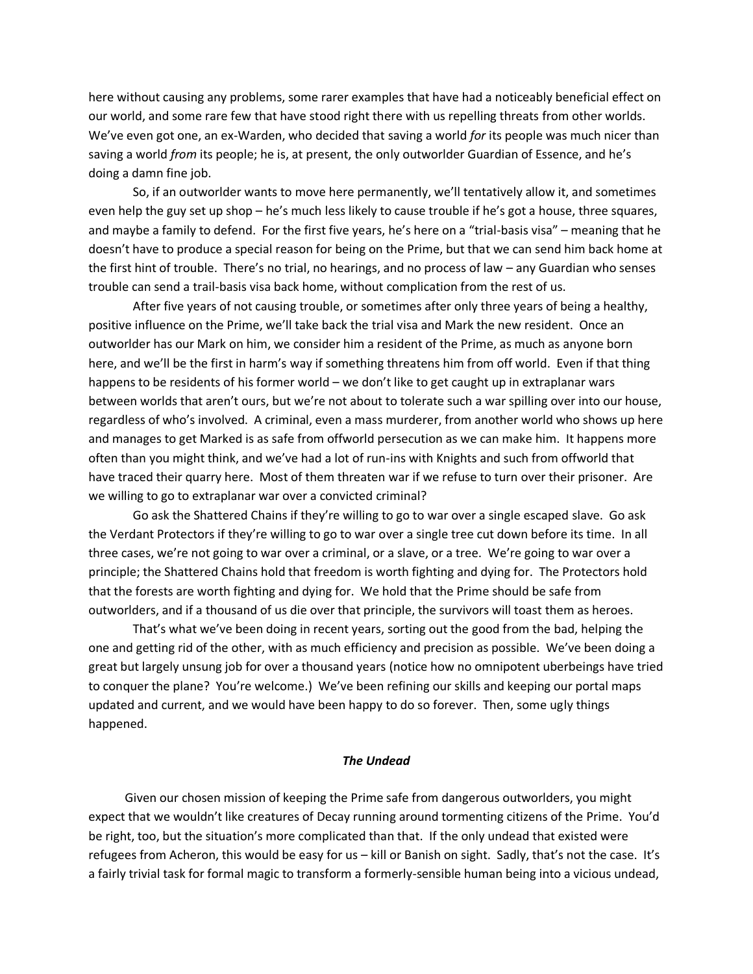here without causing any problems, some rarer examples that have had a noticeably beneficial effect on our world, and some rare few that have stood right there with us repelling threats from other worlds. We've even got one, an ex-Warden, who decided that saving a world *for* its people was much nicer than saving a world *from* its people; he is, at present, the only outworlder Guardian of Essence, and he's doing a damn fine job.

 So, if an outworlder wants to move here permanently, we'll tentatively allow it, and sometimes even help the guy set up shop – he's much less likely to cause trouble if he's got a house, three squares, and maybe a family to defend. For the first five years, he's here on a "trial-basis visa" – meaning that he doesn't have to produce a special reason for being on the Prime, but that we can send him back home at the first hint of trouble. There's no trial, no hearings, and no process of law – any Guardian who senses trouble can send a trail-basis visa back home, without complication from the rest of us.

 After five years of not causing trouble, or sometimes after only three years of being a healthy, positive influence on the Prime, we'll take back the trial visa and Mark the new resident. Once an outworlder has our Mark on him, we consider him a resident of the Prime, as much as anyone born here, and we'll be the first in harm's way if something threatens him from off world. Even if that thing happens to be residents of his former world – we don't like to get caught up in extraplanar wars between worlds that aren't ours, but we're not about to tolerate such a war spilling over into our house, regardless of who's involved. A criminal, even a mass murderer, from another world who shows up here and manages to get Marked is as safe from offworld persecution as we can make him. It happens more often than you might think, and we've had a lot of run-ins with Knights and such from offworld that have traced their quarry here. Most of them threaten war if we refuse to turn over their prisoner. Are we willing to go to extraplanar war over a convicted criminal?

 Go ask the Shattered Chains if they're willing to go to war over a single escaped slave. Go ask the Verdant Protectors if they're willing to go to war over a single tree cut down before its time. In all three cases, we're not going to war over a criminal, or a slave, or a tree. We're going to war over a principle; the Shattered Chains hold that freedom is worth fighting and dying for. The Protectors hold that the forests are worth fighting and dying for. We hold that the Prime should be safe from outworlders, and if a thousand of us die over that principle, the survivors will toast them as heroes.

 That's what we've been doing in recent years, sorting out the good from the bad, helping the one and getting rid of the other, with as much efficiency and precision as possible. We've been doing a great but largely unsung job for over a thousand years (notice how no omnipotent uberbeings have tried to conquer the plane? You're welcome.) We've been refining our skills and keeping our portal maps updated and current, and we would have been happy to do so forever. Then, some ugly things happened.

#### *The Undead*

 Given our chosen mission of keeping the Prime safe from dangerous outworlders, you might expect that we wouldn't like creatures of Decay running around tormenting citizens of the Prime. You'd be right, too, but the situation's more complicated than that. If the only undead that existed were refugees from Acheron, this would be easy for us – kill or Banish on sight. Sadly, that's not the case. It's a fairly trivial task for formal magic to transform a formerly-sensible human being into a vicious undead,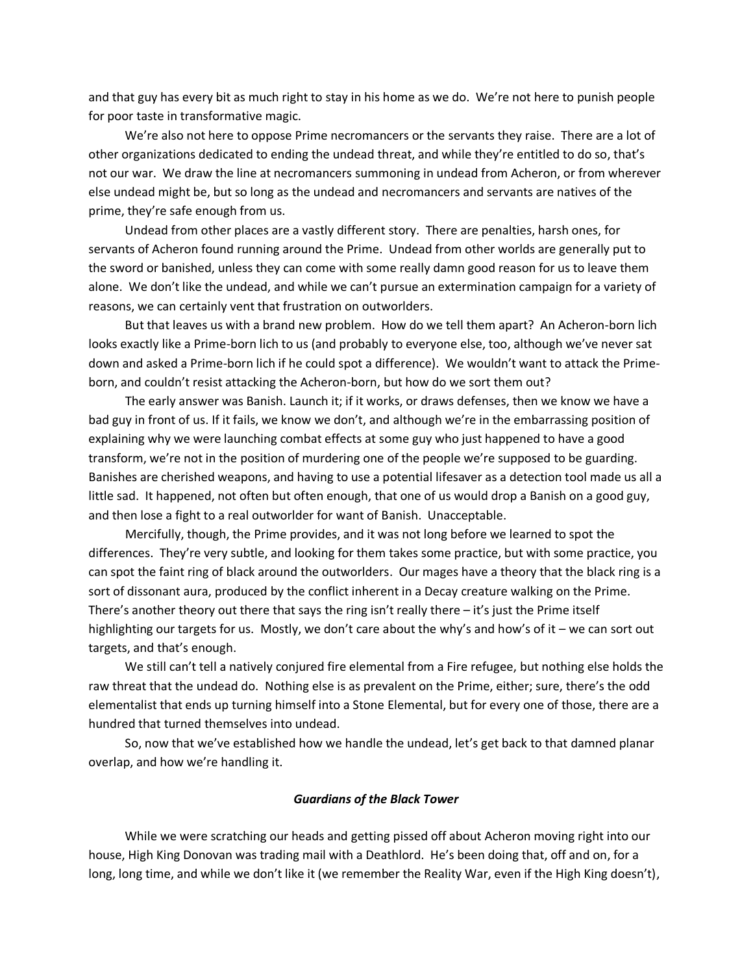and that guy has every bit as much right to stay in his home as we do. We're not here to punish people for poor taste in transformative magic.

 We're also not here to oppose Prime necromancers or the servants they raise. There are a lot of other organizations dedicated to ending the undead threat, and while they're entitled to do so, that's not our war. We draw the line at necromancers summoning in undead from Acheron, or from wherever else undead might be, but so long as the undead and necromancers and servants are natives of the prime, they're safe enough from us.

 Undead from other places are a vastly different story. There are penalties, harsh ones, for servants of Acheron found running around the Prime. Undead from other worlds are generally put to the sword or banished, unless they can come with some really damn good reason for us to leave them alone. We don't like the undead, and while we can't pursue an extermination campaign for a variety of reasons, we can certainly vent that frustration on outworlders.

 But that leaves us with a brand new problem. How do we tell them apart? An Acheron-born lich looks exactly like a Prime-born lich to us (and probably to everyone else, too, although we've never sat down and asked a Prime-born lich if he could spot a difference). We wouldn't want to attack the Primeborn, and couldn't resist attacking the Acheron-born, but how do we sort them out?

 The early answer was Banish. Launch it; if it works, or draws defenses, then we know we have a bad guy in front of us. If it fails, we know we don't, and although we're in the embarrassing position of explaining why we were launching combat effects at some guy who just happened to have a good transform, we're not in the position of murdering one of the people we're supposed to be guarding. Banishes are cherished weapons, and having to use a potential lifesaver as a detection tool made us all a little sad. It happened, not often but often enough, that one of us would drop a Banish on a good guy, and then lose a fight to a real outworlder for want of Banish. Unacceptable.

 Mercifully, though, the Prime provides, and it was not long before we learned to spot the differences. They're very subtle, and looking for them takes some practice, but with some practice, you can spot the faint ring of black around the outworlders. Our mages have a theory that the black ring is a sort of dissonant aura, produced by the conflict inherent in a Decay creature walking on the Prime. There's another theory out there that says the ring isn't really there  $-i$  t's just the Prime itself highlighting our targets for us. Mostly, we don't care about the why's and how's of it – we can sort out targets, and that's enough.

 We still can't tell a natively conjured fire elemental from a Fire refugee, but nothing else holds the raw threat that the undead do. Nothing else is as prevalent on the Prime, either; sure, there's the odd elementalist that ends up turning himself into a Stone Elemental, but for every one of those, there are a hundred that turned themselves into undead.

 So, now that we've established how we handle the undead, let's get back to that damned planar overlap, and how we're handling it.

## *Guardians of the Black Tower*

 While we were scratching our heads and getting pissed off about Acheron moving right into our house, High King Donovan was trading mail with a Deathlord. He's been doing that, off and on, for a long, long time, and while we don't like it (we remember the Reality War, even if the High King doesn't),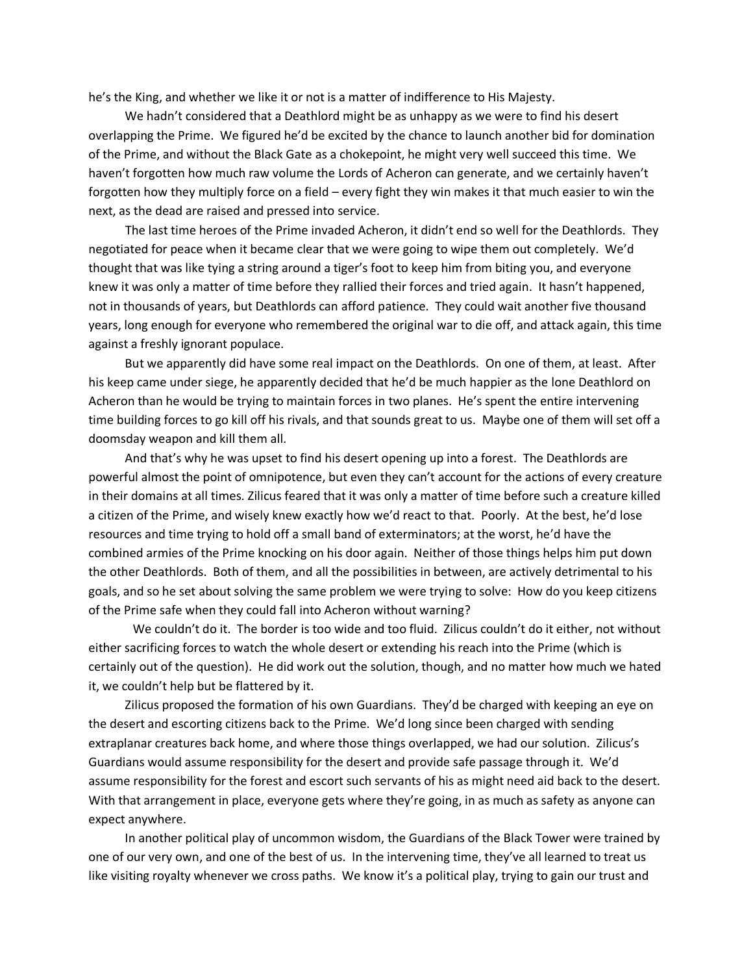he's the King, and whether we like it or not is a matter of indifference to His Majesty.

 We hadn't considered that a Deathlord might be as unhappy as we were to find his desert overlapping the Prime. We figured he'd be excited by the chance to launch another bid for domination of the Prime, and without the Black Gate as a chokepoint, he might very well succeed this time. We haven't forgotten how much raw volume the Lords of Acheron can generate, and we certainly haven't forgotten how they multiply force on a field – every fight they win makes it that much easier to win the next, as the dead are raised and pressed into service.

 The last time heroes of the Prime invaded Acheron, it didn't end so well for the Deathlords. They negotiated for peace when it became clear that we were going to wipe them out completely. We'd thought that was like tying a string around a tiger's foot to keep him from biting you, and everyone knew it was only a matter of time before they rallied their forces and tried again. It hasn't happened, not in thousands of years, but Deathlords can afford patience. They could wait another five thousand years, long enough for everyone who remembered the original war to die off, and attack again, this time against a freshly ignorant populace.

 But we apparently did have some real impact on the Deathlords. On one of them, at least. After his keep came under siege, he apparently decided that he'd be much happier as the lone Deathlord on Acheron than he would be trying to maintain forces in two planes. He's spent the entire intervening time building forces to go kill off his rivals, and that sounds great to us. Maybe one of them will set off a doomsday weapon and kill them all.

 And that's why he was upset to find his desert opening up into a forest. The Deathlords are powerful almost the point of omnipotence, but even they can't account for the actions of every creature in their domains at all times. Zilicus feared that it was only a matter of time before such a creature killed a citizen of the Prime, and wisely knew exactly how we'd react to that. Poorly. At the best, he'd lose resources and time trying to hold off a small band of exterminators; at the worst, he'd have the combined armies of the Prime knocking on his door again. Neither of those things helps him put down the other Deathlords. Both of them, and all the possibilities in between, are actively detrimental to his goals, and so he set about solving the same problem we were trying to solve: How do you keep citizens of the Prime safe when they could fall into Acheron without warning?

 We couldn't do it. The border is too wide and too fluid. Zilicus couldn't do it either, not without either sacrificing forces to watch the whole desert or extending his reach into the Prime (which is certainly out of the question). He did work out the solution, though, and no matter how much we hated it, we couldn't help but be flattered by it.

 Zilicus proposed the formation of his own Guardians. They'd be charged with keeping an eye on the desert and escorting citizens back to the Prime. We'd long since been charged with sending extraplanar creatures back home, and where those things overlapped, we had our solution. Zilicus's Guardians would assume responsibility for the desert and provide safe passage through it. We'd assume responsibility for the forest and escort such servants of his as might need aid back to the desert. With that arrangement in place, everyone gets where they're going, in as much as safety as anyone can expect anywhere.

 In another political play of uncommon wisdom, the Guardians of the Black Tower were trained by one of our very own, and one of the best of us. In the intervening time, they've all learned to treat us like visiting royalty whenever we cross paths. We know it's a political play, trying to gain our trust and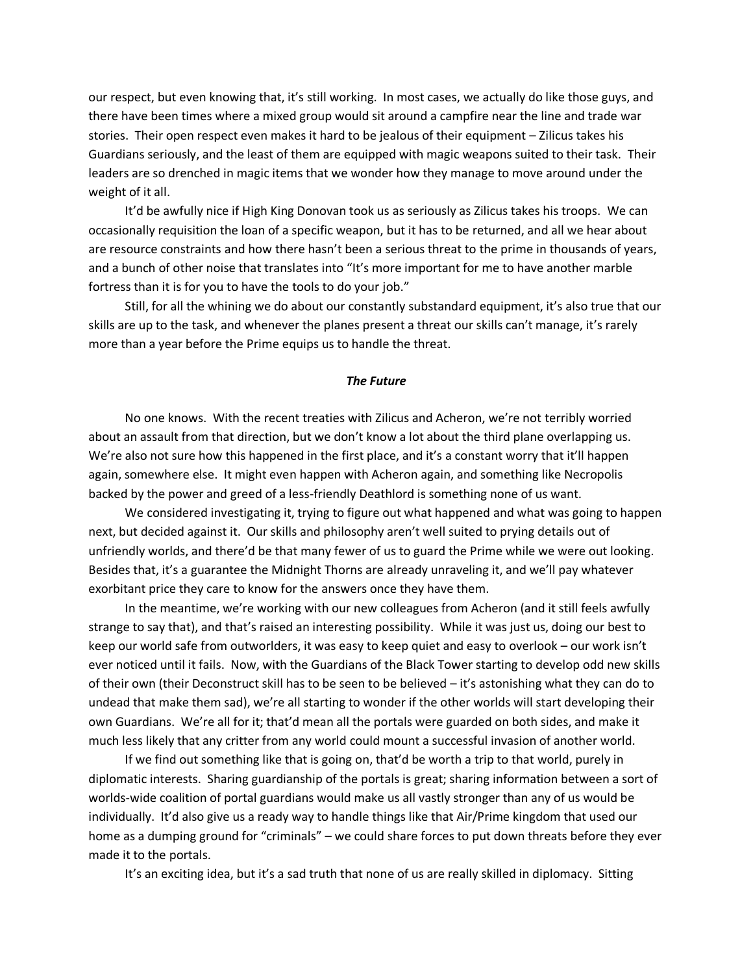our respect, but even knowing that, it's still working. In most cases, we actually do like those guys, and there have been times where a mixed group would sit around a campfire near the line and trade war stories. Their open respect even makes it hard to be jealous of their equipment – Zilicus takes his Guardians seriously, and the least of them are equipped with magic weapons suited to their task. Their leaders are so drenched in magic items that we wonder how they manage to move around under the weight of it all.

 It'd be awfully nice if High King Donovan took us as seriously as Zilicus takes his troops. We can occasionally requisition the loan of a specific weapon, but it has to be returned, and all we hear about are resource constraints and how there hasn't been a serious threat to the prime in thousands of years, and a bunch of other noise that translates into "It's more important for me to have another marble fortress than it is for you to have the tools to do your job."

 Still, for all the whining we do about our constantly substandard equipment, it's also true that our skills are up to the task, and whenever the planes present a threat our skills can't manage, it's rarely more than a year before the Prime equips us to handle the threat.

### *The Future*

 No one knows. With the recent treaties with Zilicus and Acheron, we're not terribly worried about an assault from that direction, but we don't know a lot about the third plane overlapping us. We're also not sure how this happened in the first place, and it's a constant worry that it'll happen again, somewhere else. It might even happen with Acheron again, and something like Necropolis backed by the power and greed of a less-friendly Deathlord is something none of us want.

 We considered investigating it, trying to figure out what happened and what was going to happen next, but decided against it. Our skills and philosophy aren't well suited to prying details out of unfriendly worlds, and there'd be that many fewer of us to guard the Prime while we were out looking. Besides that, it's a guarantee the Midnight Thorns are already unraveling it, and we'll pay whatever exorbitant price they care to know for the answers once they have them.

 In the meantime, we're working with our new colleagues from Acheron (and it still feels awfully strange to say that), and that's raised an interesting possibility. While it was just us, doing our best to keep our world safe from outworlders, it was easy to keep quiet and easy to overlook – our work isn't ever noticed until it fails. Now, with the Guardians of the Black Tower starting to develop odd new skills of their own (their Deconstruct skill has to be seen to be believed – it's astonishing what they can do to undead that make them sad), we're all starting to wonder if the other worlds will start developing their own Guardians. We're all for it; that'd mean all the portals were guarded on both sides, and make it much less likely that any critter from any world could mount a successful invasion of another world.

 If we find out something like that is going on, that'd be worth a trip to that world, purely in diplomatic interests. Sharing guardianship of the portals is great; sharing information between a sort of worlds-wide coalition of portal guardians would make us all vastly stronger than any of us would be individually. It'd also give us a ready way to handle things like that Air/Prime kingdom that used our home as a dumping ground for "criminals" – we could share forces to put down threats before they ever made it to the portals.

It's an exciting idea, but it's a sad truth that none of us are really skilled in diplomacy. Sitting